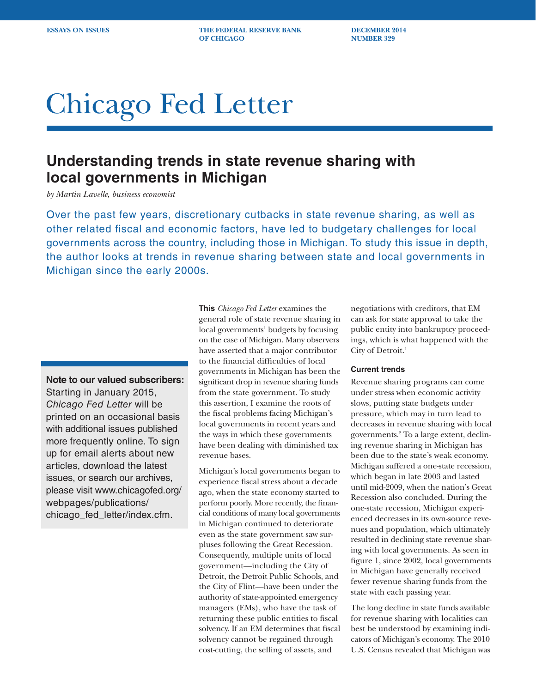**ESSAYS ON ISSUES THE FEDERAL RESERVE BANK DECEMBER 2014 OF CHICAGO** NUMBER 329

# Chicago Fed Letter

## **Understanding trends in state revenue sharing with local governments in Michigan**

*by Martin Lavelle, business economist*

Over the past few years, discretionary cutbacks in state revenue sharing, as well as other related fiscal and economic factors, have led to budgetary challenges for local governments across the country, including those in Michigan. To study this issue in depth, the author looks at trends in revenue sharing between state and local governments in Michigan since the early 2000s.

### **Note to our valued subscribers:**

Starting in January 2015, *Chicago Fed Letter* will be printed on an occasional basis with additional issues published more frequently online. To sign up for email alerts about new articles, download the latest issues, or search our archives, please visit www.chicagofed.org/ webpages/publications/ chicago\_fed\_letter/index.cfm.

**This** *Chicago Fed Letter* examines the general role of state revenue sharing in local governments' budgets by focusing on the case of Michigan. Many observers have asserted that a major contributor to the financial difficulties of local governments in Michigan has been the significant drop in revenue sharing funds from the state government. To study this assertion, I examine the roots of the fiscal problems facing Michigan's local governments in recent years and the ways in which these governments have been dealing with diminished tax revenue bases.

Michigan's local governments began to experience fiscal stress about a decade ago, when the state economy started to perform poorly. More recently, the financial conditions of many local governments in Michigan continued to deteriorate even as the state government saw surpluses following the Great Recession. Consequently, multiple units of local government—including the City of Detroit, the Detroit Public Schools, and the City of Flint—have been under the authority of state-appointed emergency managers (EMs), who have the task of returning these public entities to fiscal solvency. If an EM determines that fiscal solvency cannot be regained through cost-cutting, the selling of assets, and

negotiations with creditors, that EM can ask for state approval to take the public entity into bankruptcy proceedings, which is what happened with the City of Detroit.<sup>1</sup>

#### **Current trends**

Revenue sharing programs can come under stress when economic activity slows, putting state budgets under pressure, which may in turn lead to decreases in revenue sharing with local governments.2 To a large extent, declining revenue sharing in Michigan has been due to the state's weak economy. Michigan suffered a one-state recession, which began in late 2003 and lasted until mid-2009, when the nation's Great Recession also concluded. During the one-state recession, Michigan experienced decreases in its own-source revenues and population, which ultimately resulted in declining state revenue sharing with local governments. As seen in figure 1, since 2002, local governments in Michigan have generally received fewer revenue sharing funds from the state with each passing year.

The long decline in state funds available for revenue sharing with localities can best be understood by examining indicators of Michigan's economy. The 2010 U.S. Census revealed that Michigan was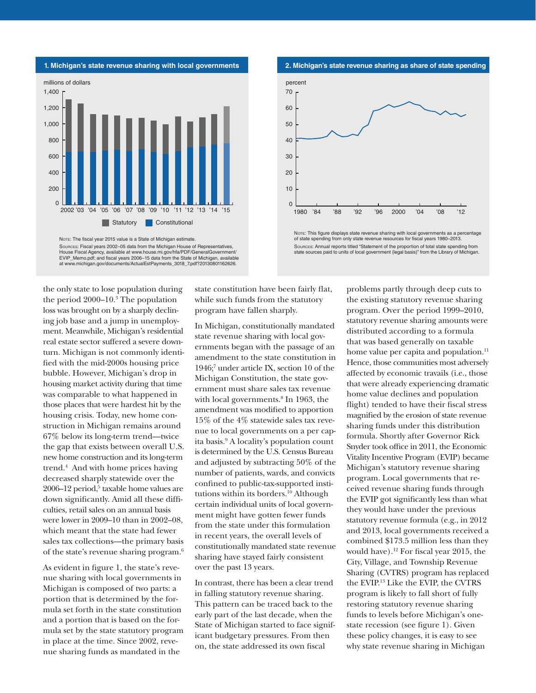

Sources: Fiscal years 2002–05 data from the Michigan House of Representatives, House Fiscal Agency, available at www.house.mi.gov/hfa/PDF/GeneralGovernment/<br>House Fiscal Agency, available at www.house.mi.gov/hfa/PDF/GeneralGovernment/<br>EVIP Memo.pdf; and fiscal years 2006–15 data from the State of Mic EVIP\_Memo.pdf; and fiscal years 2006–15 data from the State of Michigan, available at www.michigan.gov/documents/ActualEstPayments\_3018\_7.pdf?20130801162626.

**2. Michigan's state revenue sharing as share of state spending**



of state spending from only state revenue resources for fiscal years 1980–2013. Sources: Annual reports titled "Statement of the proportion of total state spending from state sources paid to units of local government (legal basis)" from the Library of Michigan

the only state to lose population during the period 2000–10.3 The population loss was brought on by a sharply declining job base and a jump in unemployment. Meanwhile, Michigan's residential real estate sector suffered a severe downturn. Michigan is not commonly identified with the mid-2000s housing price bubble. However, Michigan's drop in housing market activity during that time was comparable to what happened in those places that were hardest hit by the housing crisis. Today, new home construction in Michigan remains around 67% below its long-term trend—twice the gap that exists between overall U.S. new home construction and its long-term trend.4 And with home prices having decreased sharply statewide over the 2006–12 period,<sup>5</sup> taxable home values are down significantly. Amid all these difficulties, retail sales on an annual basis were lower in 2009–10 than in 2002–08, which meant that the state had fewer sales tax collections—the primary basis of the state's revenue sharing program.6

As evident in figure 1, the state's revenue sharing with local governments in Michigan is composed of two parts: a portion that is determined by the formula set forth in the state constitution and a portion that is based on the formula set by the state statutory program in place at the time. Since 2002, revenue sharing funds as mandated in the

state constitution have been fairly flat, while such funds from the statutory program have fallen sharply.

In Michigan, constitutionally mandated state revenue sharing with local governments began with the passage of an amendment to the state constitution in 1946;7 under article IX, section 10 of the Michigan Constitution, the state government must share sales tax revenue with local governments.<sup>8</sup> In 1963, the amendment was modified to apportion 15% of the 4% statewide sales tax revenue to local governments on a per capita basis.9 A locality's population count is determined by the U.S. Census Bureau and adjusted by subtracting 50% of the number of patients, wards, and convicts confined to public-tax-supported institutions within its borders.10 Although certain individual units of local government might have gotten fewer funds from the state under this formulation in recent years, the overall levels of constitutionally mandated state revenue sharing have stayed fairly consistent over the past 13 years.

In contrast, there has been a clear trend in falling statutory revenue sharing. This pattern can be traced back to the early part of the last decade, when the State of Michigan started to face significant budgetary pressures. From then on, the state addressed its own fiscal

problems partly through deep cuts to the existing statutory revenue sharing program. Over the period 1999–2010, statutory revenue sharing amounts were distributed according to a formula that was based generally on taxable home value per capita and population.<sup>11</sup> Hence, those communities most adversely affected by economic travails (i.e., those that were already experiencing dramatic home value declines and population flight) tended to have their fiscal stress magnified by the erosion of state revenue sharing funds under this distribution formula. Shortly after Governor Rick Snyder took office in 2011, the Economic Vitality Incentive Program (EVIP) became Michigan's statutory revenue sharing program. Local governments that received revenue sharing funds through the EVIP got significantly less than what they would have under the previous statutory revenue formula (e.g., in 2012 and 2013, local governments received a combined \$173.5 million less than they would have).<sup>12</sup> For fiscal year 2015, the City, Village, and Township Revenue Sharing (CVTRS) program has replaced the EVIP.13 Like the EVIP, the CVTRS program is likely to fall short of fully restoring statutory revenue sharing funds to levels before Michigan's onestate recession (see figure 1). Given these policy changes, it is easy to see why state revenue sharing in Michigan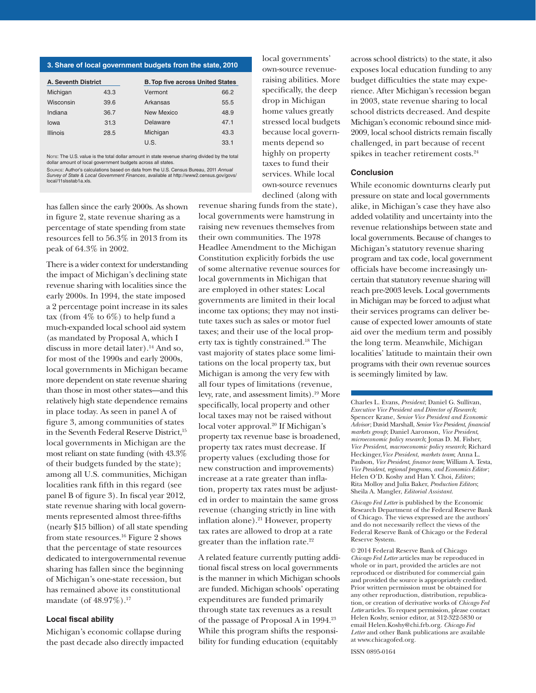#### **3. Share of local government budgets from the state, 2010**

| <b>A. Seventh District</b> |      | <b>B. Top five across United States</b> |      |
|----------------------------|------|-----------------------------------------|------|
| Michigan                   | 43.3 | Vermont                                 | 66.2 |
| Wisconsin                  | 39.6 | Arkansas                                | 55.5 |
| Indiana                    | 36.7 | New Mexico                              | 48.9 |
| lowa                       | 31.3 | Delaware                                | 47.1 |
| <b>Illinois</b>            | 28.5 | Michigan                                | 43.3 |
|                            |      | U.S.                                    | 33.1 |

NOTE: The U.S. value is the total dollar amount in state revenue sharing divided by the total dollar amount of local government budgets across all states

Source: Author's calculations based on data from the U.S. Census Bureau, 2011 *Annual* 

*Survey of State & Local Government Finances*, available at http://www2.census.gov/govs/ local/11slsstab1a.xls.

has fallen since the early 2000s. As shown in figure 2, state revenue sharing as a percentage of state spending from state resources fell to 56.3% in 2013 from its peak of 64.3% in 2002.

There is a wider context for understanding the impact of Michigan's declining state revenue sharing with localities since the early 2000s. In 1994, the state imposed a 2 percentage point increase in its sales tax (from 4% to 6%) to help fund a much-expanded local school aid system (as mandated by Proposal A, which I discuss in more detail later).14 And so, for most of the 1990s and early 2000s, local governments in Michigan became more dependent on state revenue sharing than those in most other states—and this relatively high state dependence remains in place today. As seen in panel A of figure 3, among communities of states in the Seventh Federal Reserve District,<sup>15</sup> local governments in Michigan are the most reliant on state funding (with 43.3% of their budgets funded by the state); among all U.S. communities, Michigan localities rank fifth in this regard (see panel B of figure 3). In fiscal year 2012, state revenue sharing with local governments represented almost three-fifths (nearly \$15 billion) of all state spending from state resources.16 Figure 2 shows that the percentage of state resources dedicated to intergovernmental revenue sharing has fallen since the beginning of Michigan's one-state recession, but has remained above its constitutional mandate (of 48.97%).<sup>17</sup>

#### **Local fiscal ability**

Michigan's economic collapse during the past decade also directly impacted local governments' own-source revenueraising abilities. More specifically, the deep drop in Michigan home values greatly stressed local budgets because local governments depend so highly on property taxes to fund their services. While local own-source revenues declined (along with

revenue sharing funds from the state), local governments were hamstrung in raising new revenues themselves from their own communities. The 1978 Headlee Amendment to the Michigan Constitution explicitly forbids the use of some alternative revenue sources for local governments in Michigan that are employed in other states: Local governments are limited in their local income tax options; they may not institute taxes such as sales or motor fuel taxes; and their use of the local property tax is tightly constrained.18 The vast majority of states place some limitations on the local property tax, but Michigan is among the very few with all four types of limitations (revenue, levy, rate, and assessment limits).19 More specifically, local property and other local taxes may not be raised without local voter approval.<sup>20</sup> If Michigan's property tax revenue base is broadened, property tax rates must decrease. If property values (excluding those for new construction and improvements) increase at a rate greater than inflation, property tax rates must be adjusted in order to maintain the same gross revenue (changing strictly in line with inflation alone). $21$  However, property tax rates are allowed to drop at a rate greater than the inflation rate.<sup>22</sup>

A related feature currently putting additional fiscal stress on local governments is the manner in which Michigan schools are funded. Michigan schools' operating expenditures are funded primarily through state tax revenues as a result of the passage of Proposal A in 1994.23 While this program shifts the responsibility for funding education (equitably

across school districts) to the state, it also exposes local education funding to any budget difficulties the state may experience. After Michigan's recession began in 2003, state revenue sharing to local school districts decreased. And despite Michigan's economic rebound since mid-2009, local school districts remain fiscally challenged, in part because of recent spikes in teacher retirement costs.<sup>24</sup>

#### **Conclusion**

While economic downturns clearly put pressure on state and local governments alike, in Michigan's case they have also added volatility and uncertainty into the revenue relationships between state and local governments. Because of changes to Michigan's statutory revenue sharing program and tax code, local government officials have become increasingly uncertain that statutory revenue sharing will reach pre-2003 levels. Local governments in Michigan may be forced to adjust what their services programs can deliver because of expected lower amounts of state aid over the medium term and possibly the long term. Meanwhile, Michigan localities' latitude to maintain their own programs with their own revenue sources is seemingly limited by law.

Charles L. Evans, *President*; Daniel G. Sullivan, *Executive Vice President and Director of Research*; Spencer Krane, *Senior Vice President and Economic Advisor*; David Marshall, *Senior Vice President*, *financial markets group*; Daniel Aaronson, *Vice President*, *microeconomic policy research*; Jonas D. M. Fisher, *Vice President*, *macroeconomic policy research*; Richard Heckinger,*Vice President*, *markets team*; Anna L. Paulson, *Vice President*, *finance team*; William A. Testa, *Vice President*, *regional programs*, *and Economics Editor*; Helen O'D. Koshy and Han Y. Choi, *Editors* ; Rita Molloy and Julia Baker, *Production Editors*; Sheila A. Mangler, *Editorial Assistant.* 

*Chicago Fed Letter* is published by the Economic Research Department of the Federal Reserve Bank of Chicago. The views expressed are the authors' and do not necessarily reflect the views of the Federal Reserve Bank of Chicago or the Federal Reserve System.

© 2014 Federal Reserve Bank of Chicago *Chicago Fed Letter* articles may be reproduced in whole or in part, provided the articles are not reproduced or distributed for commercial gain and provided the source is appropriately credited. Prior written permission must be obtained for any other reproduction, distribution, republication, or creation of derivative works of *Chicago Fed Letter* articles. To request permission, please contact Helen Koshy, senior editor, at 312-322-5830 or email Helen.Koshy@chi.frb.org. *Chicago Fed Letter* and other Bank publications are available at www.chicagofed.org.

ISSN 0895-0164